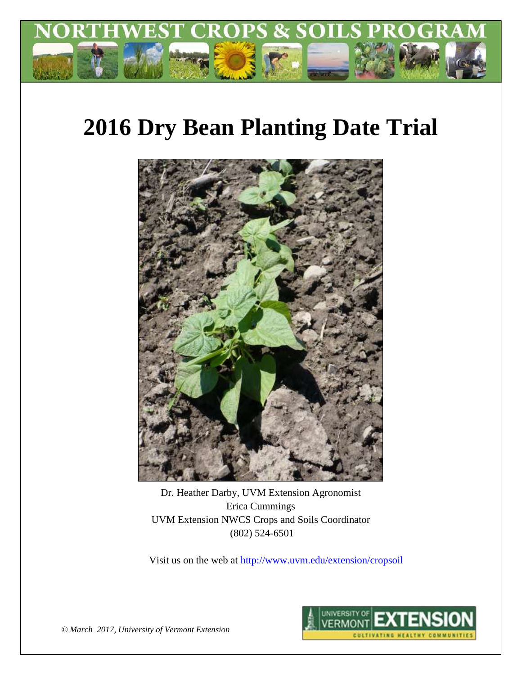

# **2016 Dry Bean Planting Date Trial**



Dr. Heather Darby, UVM Extension Agronomist Erica Cummings UVM Extension NWCS Crops and Soils Coordinator (802) 524-6501

Visit us on the web at<http://www.uvm.edu/extension/cropsoil>



*© March 2017, University of Vermont Extension*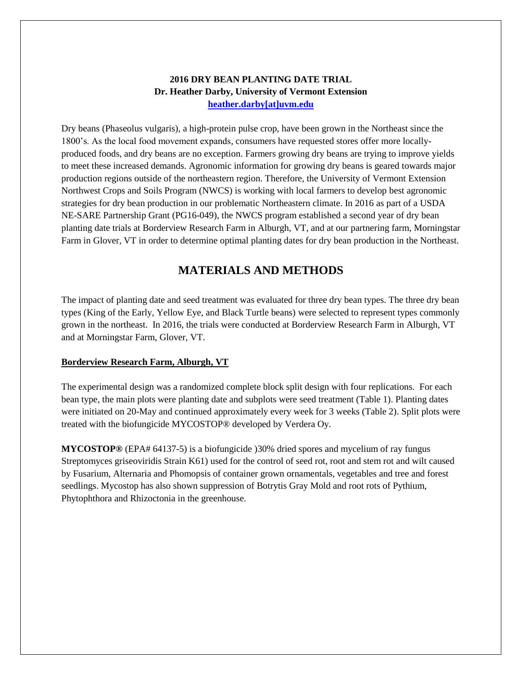# **2016 DRY BEAN PLANTING DATE TRIAL Dr. Heather Darby, University of Vermont Extension [heather.darby\[at\]uvm.edu](mailto:hdarby@uvm.edu?subject=2012%20Winter%20Wheat%20Planting%20Date)**

Dry beans (Phaseolus vulgaris), a high-protein pulse crop, have been grown in the Northeast since the 1800's. As the local food movement expands, consumers have requested stores offer more locallyproduced foods, and dry beans are no exception. Farmers growing dry beans are trying to improve yields to meet these increased demands. Agronomic information for growing dry beans is geared towards major production regions outside of the northeastern region. Therefore, the University of Vermont Extension Northwest Crops and Soils Program (NWCS) is working with local farmers to develop best agronomic strategies for dry bean production in our problematic Northeastern climate. In 2016 as part of a USDA NE-SARE Partnership Grant (PG16-049), the NWCS program established a second year of dry bean planting date trials at Borderview Research Farm in Alburgh, VT, and at our partnering farm, Morningstar Farm in Glover, VT in order to determine optimal planting dates for dry bean production in the Northeast.

# **MATERIALS AND METHODS**

The impact of planting date and seed treatment was evaluated for three dry bean types. The three dry bean types (King of the Early, Yellow Eye, and Black Turtle beans) were selected to represent types commonly grown in the northeast. In 2016, the trials were conducted at Borderview Research Farm in Alburgh, VT and at Morningstar Farm, Glover, VT.

# **Borderview Research Farm, Alburgh, VT**

The experimental design was a randomized complete block split design with four replications. For each bean type, the main plots were planting date and subplots were seed treatment (Table 1). Planting dates were initiated on 20-May and continued approximately every week for 3 weeks (Table 2). Split plots were treated with the biofungicide MYCOSTOP® developed by Verdera Oy.

**MYCOSTOP®** (EPA# 64137-5) is a biofungicide )30% dried spores and mycelium of ray fungus Streptomyces griseoviridis Strain K61) used for the control of seed rot, root and stem rot and wilt caused by Fusarium, Alternaria and Phomopsis of container grown ornamentals, vegetables and tree and forest seedlings. Mycostop has also shown suppression of Botrytis Gray Mold and root rots of Pythium, Phytophthora and Rhizoctonia in the greenhouse.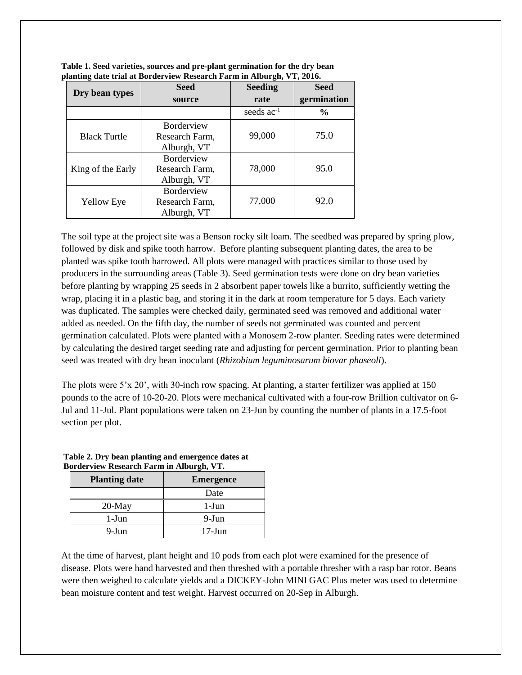| Dry bean types      | <b>Seed</b>                                        | <b>Seeding</b>  | <b>Seed</b>   |  |
|---------------------|----------------------------------------------------|-----------------|---------------|--|
|                     | source                                             | rate            | germination   |  |
|                     |                                                    | seeds $ac^{-1}$ | $\frac{6}{9}$ |  |
| <b>Black Turtle</b> | <b>Borderview</b><br>Research Farm,<br>Alburgh, VT | 99,000          | 75.0          |  |
| King of the Early   | <b>Borderview</b><br>Research Farm,<br>Alburgh, VT | 78,000          | 95.0          |  |
| <b>Yellow Eye</b>   | Borderview<br>Research Farm,<br>Alburgh, VT        | 77,000          | 92.0          |  |

**Table 1. Seed varieties, sources and pre-plant germination for the dry bean planting date trial at Borderview Research Farm in Alburgh, VT, 2016.**

The soil type at the project site was a Benson rocky silt loam. The seedbed was prepared by spring plow, followed by disk and spike tooth harrow. Before planting subsequent planting dates, the area to be planted was spike tooth harrowed. All plots were managed with practices similar to those used by producers in the surrounding areas (Table 3). Seed germination tests were done on dry bean varieties before planting by wrapping 25 seeds in 2 absorbent paper towels like a burrito, sufficiently wetting the wrap, placing it in a plastic bag, and storing it in the dark at room temperature for 5 days. Each variety was duplicated. The samples were checked daily, germinated seed was removed and additional water added as needed. On the fifth day, the number of seeds not germinated was counted and percent germination calculated. Plots were planted with a Monosem 2-row planter. Seeding rates were determined by calculating the desired target seeding rate and adjusting for percent germination. Prior to planting bean seed was treated with dry bean inoculant (*Rhizobium leguminosarum biovar phaseoli*).

The plots were 5'x 20', with 30-inch row spacing. At planting, a starter fertilizer was applied at 150 pounds to the acre of 10-20-20. Plots were mechanical cultivated with a four-row Brillion cultivator on 6- Jul and 11-Jul. Plant populations were taken on 23-Jun by counting the number of plants in a 17.5-foot section per plot.

| <b>Planting date</b> | <b>Emergence</b> |  |  |
|----------------------|------------------|--|--|
|                      | Date             |  |  |
| $20$ -May            | $1-J$ un         |  |  |
| $1-J$ un             | 9-Jun            |  |  |
| 9-Jun                | $17$ -Jun        |  |  |

#### **Table 2. Dry bean planting and emergence dates at Borderview Research Farm in Alburgh, VT.**

At the time of harvest, plant height and 10 pods from each plot were examined for the presence of disease. Plots were hand harvested and then threshed with a portable thresher with a rasp bar rotor. Beans were then weighed to calculate yields and a DICKEY-John MINI GAC Plus meter was used to determine bean moisture content and test weight. Harvest occurred on 20-Sep in Alburgh.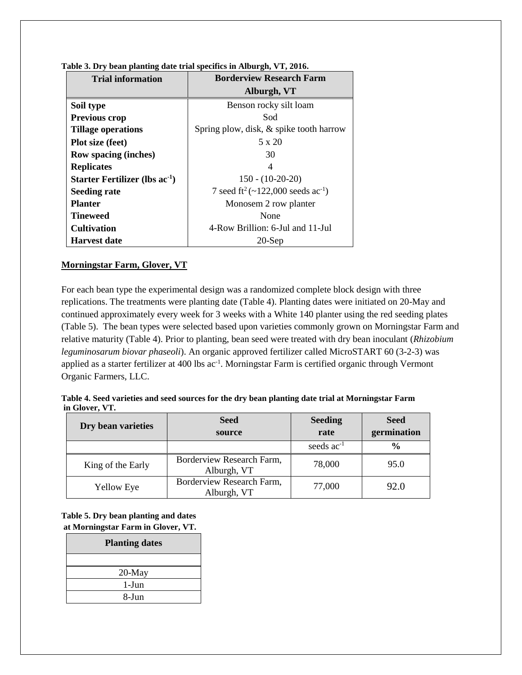| <b>Trial information</b>                   | <b>Borderview Research Farm</b>                           |
|--------------------------------------------|-----------------------------------------------------------|
|                                            | Alburgh, VT                                               |
| Soil type                                  | Benson rocky silt loam                                    |
| <b>Previous crop</b>                       | Sod                                                       |
| <b>Tillage operations</b>                  | Spring plow, disk, & spike tooth harrow                   |
| Plot size (feet)                           | $5 \times 20$                                             |
| Row spacing (inches)                       | 30                                                        |
| <b>Replicates</b>                          | 4                                                         |
| Starter Fertilizer (lbs ac <sup>-1</sup> ) | $150 - (10-20-20)$                                        |
| <b>Seeding rate</b>                        | 7 seed ft <sup>2</sup> (~122,000 seeds ac <sup>-1</sup> ) |
| <b>Planter</b>                             | Monosem 2 row planter                                     |
| Tineweed                                   | None                                                      |
| <b>Cultivation</b>                         | 4-Row Brillion: 6-Jul and 11-Jul                          |
| <b>Harvest date</b>                        | $20$ -Sep                                                 |

#### **Table 3. Dry bean planting date trial specifics in Alburgh, VT, 2016.**

#### **Morningstar Farm, Glover, VT**

For each bean type the experimental design was a randomized complete block design with three replications. The treatments were planting date (Table 4). Planting dates were initiated on 20-May and continued approximately every week for 3 weeks with a White 140 planter using the red seeding plates (Table 5). The bean types were selected based upon varieties commonly grown on Morningstar Farm and relative maturity (Table 4). Prior to planting, bean seed were treated with dry bean inoculant (*Rhizobium leguminosarum biovar phaseoli*). An organic approved fertilizer called MicroSTART 60 (3-2-3) was applied as a starter fertilizer at 400 lbs ac<sup>-1</sup>. Morningstar Farm is certified organic through Vermont Organic Farmers, LLC.

|                | Table 4. Seed varieties and seed sources for the dry bean planting date trial at Morningstar Farm |  |
|----------------|---------------------------------------------------------------------------------------------------|--|
| in Glover, VT. |                                                                                                   |  |
|                |                                                                                                   |  |

| Dry bean varieties | <b>Seed</b><br>source                    | <b>Seeding</b><br>rate | <b>Seed</b><br>germination |
|--------------------|------------------------------------------|------------------------|----------------------------|
|                    |                                          | seeds $ac^{-1}$        | $\frac{6}{6}$              |
| King of the Early  | Borderview Research Farm,<br>Alburgh, VT | 78,000                 | 95.0                       |
| <b>Yellow Eye</b>  | Borderview Research Farm,<br>Alburgh, VT | 77,000                 | 92.0                       |

**Table 5. Dry bean planting and dates at Morningstar Farm in Glover, VT.**

| <b>Planting dates</b> |
|-----------------------|
|                       |
| $20$ -May             |
| 1-Jun                 |
| 8-Jun                 |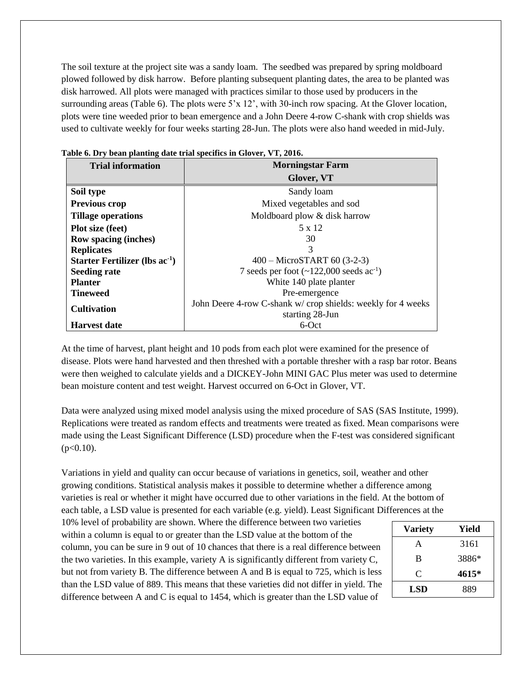The soil texture at the project site was a sandy loam. The seedbed was prepared by spring moldboard plowed followed by disk harrow. Before planting subsequent planting dates, the area to be planted was disk harrowed. All plots were managed with practices similar to those used by producers in the surrounding areas (Table 6). The plots were 5'x 12', with 30-inch row spacing. At the Glover location, plots were tine weeded prior to bean emergence and a John Deere 4-row C-shank with crop shields was used to cultivate weekly for four weeks starting 28-Jun. The plots were also hand weeded in mid-July.

| <b>Trial information</b>            | <b>Morningstar Farm</b>                                     |
|-------------------------------------|-------------------------------------------------------------|
|                                     | Glover, VT                                                  |
| Soil type                           | Sandy loam                                                  |
| Previous crop                       | Mixed vegetables and sod                                    |
| <b>Tillage operations</b>           | Moldboard plow & disk harrow                                |
| <b>Plot size (feet)</b>             | 5 x 12                                                      |
| <b>Row spacing (inches)</b>         | 30                                                          |
| <b>Replicates</b>                   | 3                                                           |
| Starter Fertilizer (lbs $ac^{-1}$ ) | 400 - MicroSTART 60 (3-2-3)                                 |
| <b>Seeding rate</b>                 | 7 seeds per foot $(\sim 122,000 \text{ seeds ac}^{-1})$     |
| <b>Planter</b>                      | White 140 plate planter                                     |
| <b>Tineweed</b>                     | Pre-emergence                                               |
| <b>Cultivation</b>                  | John Deere 4-row C-shank w/crop shields: weekly for 4 weeks |
|                                     | starting 28-Jun                                             |
| <b>Harvest date</b>                 | $6$ -Oct                                                    |

| Table 6. Dry bean planting date trial specifics in Glover, VT, 2016. |  |  |  |  |  |  |  |  |  |
|----------------------------------------------------------------------|--|--|--|--|--|--|--|--|--|
|----------------------------------------------------------------------|--|--|--|--|--|--|--|--|--|

At the time of harvest, plant height and 10 pods from each plot were examined for the presence of disease. Plots were hand harvested and then threshed with a portable thresher with a rasp bar rotor. Beans were then weighed to calculate yields and a DICKEY-John MINI GAC Plus meter was used to determine bean moisture content and test weight. Harvest occurred on 6-Oct in Glover, VT.

Data were analyzed using mixed model analysis using the mixed procedure of SAS (SAS Institute, 1999). Replications were treated as random effects and treatments were treated as fixed. Mean comparisons were made using the Least Significant Difference (LSD) procedure when the F-test was considered significant  $(p<0.10)$ .

Variations in yield and quality can occur because of variations in genetics, soil, weather and other growing conditions. Statistical analysis makes it possible to determine whether a difference among varieties is real or whether it might have occurred due to other variations in the field. At the bottom of each table, a LSD value is presented for each variable (e.g. yield). Least Significant Differences at the

10% level of probability are shown. Where the difference between two varieties within a column is equal to or greater than the LSD value at the bottom of the column, you can be sure in 9 out of 10 chances that there is a real difference between the two varieties. In this example, variety A is significantly different from variety C, but not from variety B. The difference between A and B is equal to 725, which is less than the LSD value of 889. This means that these varieties did not differ in yield. The difference between A and C is equal to 1454, which is greater than the LSD value of

| Yield |
|-------|
| 3161  |
| 3886* |
| 4615* |
| 889   |
|       |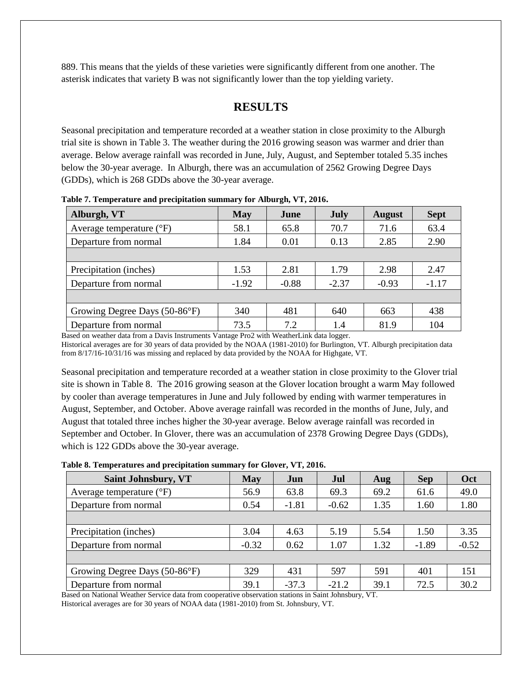889. This means that the yields of these varieties were significantly different from one another. The asterisk indicates that variety B was not significantly lower than the top yielding variety.

# **RESULTS**

Seasonal precipitation and temperature recorded at a weather station in close proximity to the Alburgh trial site is shown in Table 3. The weather during the 2016 growing season was warmer and drier than average. Below average rainfall was recorded in June, July, August, and September totaled 5.35 inches below the 30-year average. In Alburgh, there was an accumulation of 2562 Growing Degree Days (GDDs), which is 268 GDDs above the 30-year average.

| <b>May</b> | June    | <b>July</b> | <b>August</b> | <b>Sept</b> |
|------------|---------|-------------|---------------|-------------|
| 58.1       | 65.8    | 70.7        | 71.6          | 63.4        |
| 1.84       | 0.01    | 0.13        | 2.85          | 2.90        |
|            |         |             |               |             |
| 1.53       | 2.81    | 1.79        | 2.98          | 2.47        |
| $-1.92$    | $-0.88$ | $-2.37$     | $-0.93$       | $-1.17$     |
|            |         |             |               |             |
| 340        | 481     | 640         | 663           | 438         |
| 73.5       | 7.2     | 1.4         | 81.9          | 104         |
|            |         |             |               |             |

**Table 7. Temperature and precipitation summary for Alburgh, VT, 2016.**

Based on weather data from a Davis Instruments Vantage Pro2 with WeatherLink data logger. Historical averages are for 30 years of data provided by the NOAA (1981-2010) for Burlington, VT. Alburgh precipitation data from 8/17/16-10/31/16 was missing and replaced by data provided by the NOAA for Highgate, VT.

Seasonal precipitation and temperature recorded at a weather station in close proximity to the Glover trial site is shown in Table 8. The 2016 growing season at the Glover location brought a warm May followed by cooler than average temperatures in June and July followed by ending with warmer temperatures in August, September, and October. Above average rainfall was recorded in the months of June, July, and August that totaled three inches higher the 30-year average. Below average rainfall was recorded in September and October. In Glover, there was an accumulation of 2378 Growing Degree Days (GDDs), which is 122 GDDs above the 30-year average.

|  | Table 8. Temperatures and precipitation summary for Glover, VT, 2016. |  |
|--|-----------------------------------------------------------------------|--|
|  |                                                                       |  |

| <b>Saint Johnsbury, VT</b>        | <b>May</b> | Jun     | Jul     | Aug  | <b>Sep</b> | Oct     |
|-----------------------------------|------------|---------|---------|------|------------|---------|
| Average temperature $(^{\circ}F)$ | 56.9       | 63.8    | 69.3    | 69.2 | 61.6       | 49.0    |
| Departure from normal             | 0.54       | $-1.81$ | $-0.62$ | 1.35 | 1.60       | 1.80    |
|                                   |            |         |         |      |            |         |
| Precipitation (inches)            | 3.04       | 4.63    | 5.19    | 5.54 | 1.50       | 3.35    |
| Departure from normal             | $-0.32$    | 0.62    | 1.07    | 1.32 | $-1.89$    | $-0.52$ |
|                                   |            |         |         |      |            |         |
| Growing Degree Days (50-86°F)     | 329        | 431     | 597     | 591  | 401        | 151     |
| Departure from normal             | 39.1       | $-37.3$ | $-21.2$ | 39.1 | 72.5       | 30.2    |

Based on National Weather Service data from cooperative observation stations in Saint Johnsbury, VT. Historical averages are for 30 years of NOAA data (1981-2010) from St. Johnsbury, VT.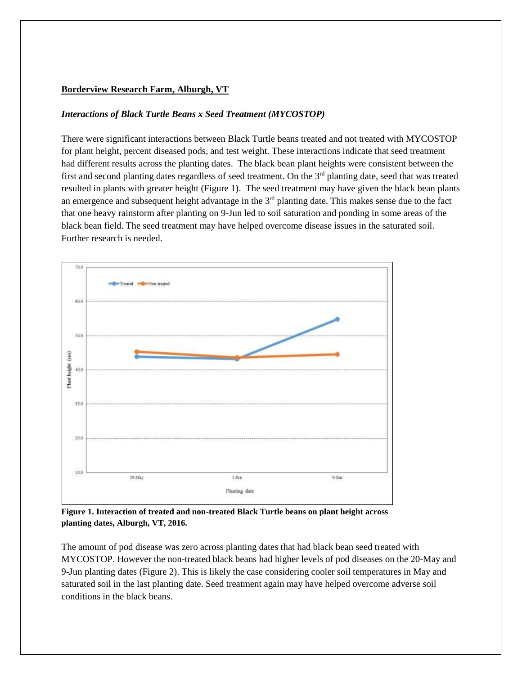#### **Borderview Research Farm, Alburgh, VT**

#### *Interactions of Black Turtle Beans x Seed Treatment (MYCOSTOP)*

There were significant interactions between Black Turtle beans treated and not treated with MYCOSTOP for plant height, percent diseased pods, and test weight. These interactions indicate that seed treatment had different results across the planting dates. The black bean plant heights were consistent between the first and second planting dates regardless of seed treatment. On the 3<sup>rd</sup> planting date, seed that was treated resulted in plants with greater height (Figure 1). The seed treatment may have given the black bean plants an emergence and subsequent height advantage in the 3<sup>rd</sup> planting date. This makes sense due to the fact that one heavy rainstorm after planting on 9-Jun led to soil saturation and ponding in some areas of the black bean field. The seed treatment may have helped overcome disease issues in the saturated soil. Further research is needed.



**Figure 1. Interaction of treated and non-treated Black Turtle beans on plant height across planting dates, Alburgh, VT, 2016.**

The amount of pod disease was zero across planting dates that had black bean seed treated with MYCOSTOP. However the non-treated black beans had higher levels of pod diseases on the 20-May and 9-Jun planting dates (Figure 2). This is likely the case considering cooler soil temperatures in May and saturated soil in the last planting date. Seed treatment again may have helped overcome adverse soil conditions in the black beans.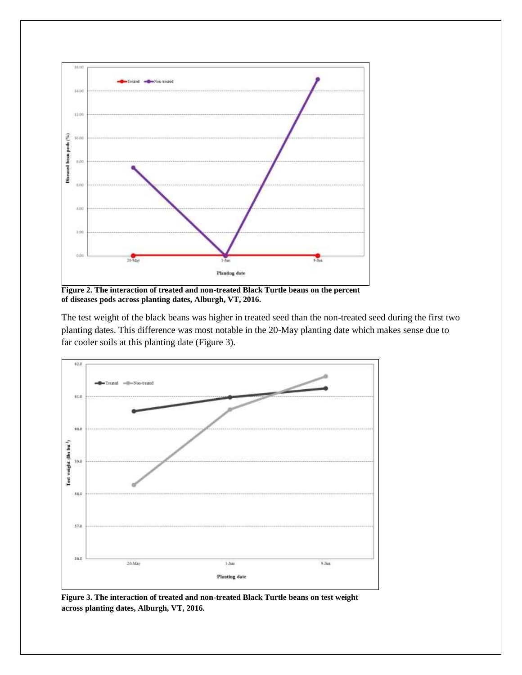

**Figure 2. The interaction of treated and non-treated Black Turtle beans on the percent of diseases pods across planting dates, Alburgh, VT, 2016.**

The test weight of the black beans was higher in treated seed than the non-treated seed during the first two planting dates. This difference was most notable in the 20-May planting date which makes sense due to far cooler soils at this planting date (Figure 3).



**Figure 3. The interaction of treated and non-treated Black Turtle beans on test weight across planting dates, Alburgh, VT, 2016.**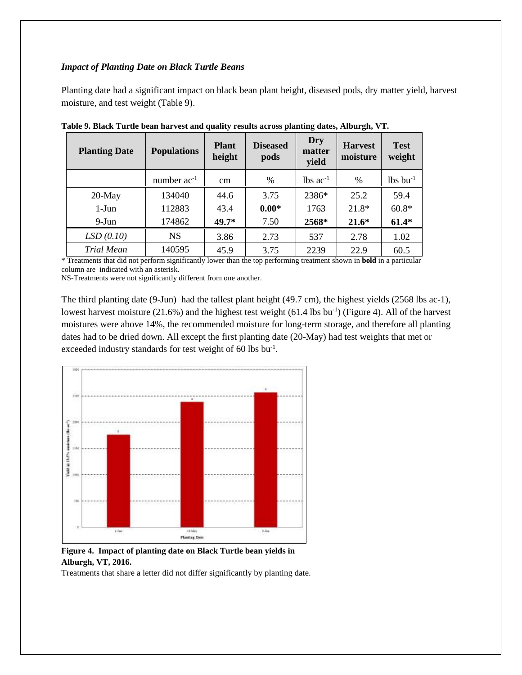#### *Impact of Planting Date on Black Turtle Beans*

Planting date had a significant impact on black bean plant height, diseased pods, dry matter yield, harvest moisture, and test weight (Table 9).

| <b>Planting Date</b> | <b>Populations</b> | <b>Plant</b><br>height | <b>Diseased</b><br>pods | Dry<br>matter<br>yield | <b>Harvest</b><br>moisture | <b>Test</b><br>weight  |
|----------------------|--------------------|------------------------|-------------------------|------------------------|----------------------------|------------------------|
|                      | number $ac^{-1}$   | $\rm cm$               | $\%$                    | $lbs$ ac <sup>-1</sup> | $\%$                       | $lbs$ bu <sup>-1</sup> |
| $20$ -May            | 134040             | 44.6                   | 3.75                    | 2386*                  | 25.2                       | 59.4                   |
| $1-J$ un             | 112883             | 43.4                   | $0.00*$                 | 1763                   | $21.8*$                    | $60.8*$                |
| $9-Jun$              | 174862             | $49.7*$                | 7.50                    | 2568*                  | $21.6*$                    | $61.4*$                |
| LSD(0.10)            | <b>NS</b>          | 3.86                   | 2.73                    | 537                    | 2.78                       | 1.02                   |
| <b>Trial Mean</b>    | 140595             | 45.9                   | 3.75                    | 2239                   | 22.9                       | 60.5                   |

**Table 9. Black Turtle bean harvest and quality results across planting dates, Alburgh, VT.**

\* Treatments that did not perform significantly lower than the top performing treatment shown in **bold** in a particular column are indicated with an asterisk.

NS-Treatments were not significantly different from one another.

The third planting date (9-Jun) had the tallest plant height (49.7 cm), the highest yields (2568 lbs ac-1), lowest harvest moisture (21.6%) and the highest test weight (61.4 lbs bu<sup>-1</sup>) (Figure 4). All of the harvest moistures were above 14%, the recommended moisture for long-term storage, and therefore all planting dates had to be dried down. All except the first planting date (20-May) had test weights that met or exceeded industry standards for test weight of 60 lbs bu<sup>-1</sup>.



**Figure 4. Impact of planting date on Black Turtle bean yields in Alburgh, VT, 2016.** 

Treatments that share a letter did not differ significantly by planting date.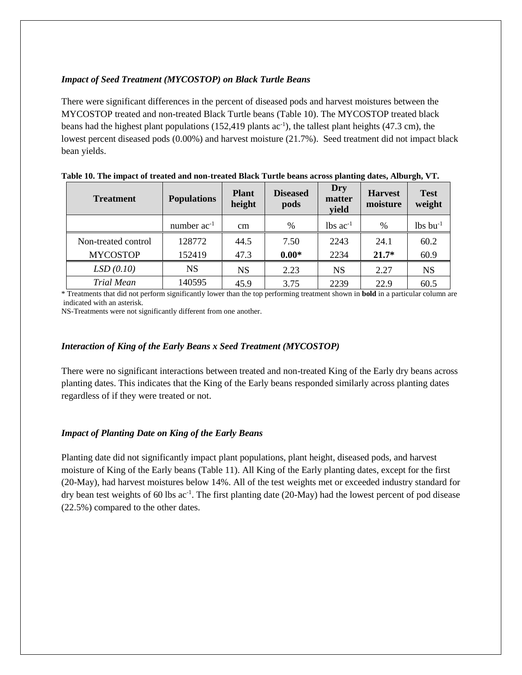### *Impact of Seed Treatment (MYCOSTOP) on Black Turtle Beans*

There were significant differences in the percent of diseased pods and harvest moistures between the MYCOSTOP treated and non-treated Black Turtle beans (Table 10). The MYCOSTOP treated black beans had the highest plant populations (152,419 plants  $ac^{-1}$ ), the tallest plant heights (47.3 cm), the lowest percent diseased pods (0.00%) and harvest moisture (21.7%). Seed treatment did not impact black bean yields.

| <b>Treatment</b>    | <b>Populations</b> | <b>Plant</b><br>height | <b>Diseased</b><br>pods | Dry<br>matter<br>yield | <b>Harvest</b><br>moisture | <b>Test</b><br>weight  |
|---------------------|--------------------|------------------------|-------------------------|------------------------|----------------------------|------------------------|
|                     | number $ac^{-1}$   | cm                     | %                       | $lbs$ ac <sup>-1</sup> | $\frac{0}{0}$              | $lbs$ bu <sup>-1</sup> |
| Non-treated control | 128772             | 44.5                   | 7.50                    | 2243                   | 24.1                       | 60.2                   |
| <b>MYCOSTOP</b>     | 152419             | 47.3                   | $0.00*$                 | 2234                   | $21.7*$                    | 60.9                   |
| LSD(0.10)           | NS                 | <b>NS</b>              | 2.23                    | <b>NS</b>              | 2.27                       | <b>NS</b>              |
| <b>Trial Mean</b>   | 140595             | 45.9                   | 3.75                    | 2239                   | 22.9                       | 60.5                   |

**Table 10. The impact of treated and non-treated Black Turtle beans across planting dates, Alburgh, VT.**

\* Treatments that did not perform significantly lower than the top performing treatment shown in **bold** in a particular column are indicated with an asterisk.

NS-Treatments were not significantly different from one another.

#### *Interaction of King of the Early Beans x Seed Treatment (MYCOSTOP)*

There were no significant interactions between treated and non-treated King of the Early dry beans across planting dates. This indicates that the King of the Early beans responded similarly across planting dates regardless of if they were treated or not.

#### *Impact of Planting Date on King of the Early Beans*

Planting date did not significantly impact plant populations, plant height, diseased pods, and harvest moisture of King of the Early beans (Table 11). All King of the Early planting dates, except for the first (20-May), had harvest moistures below 14%. All of the test weights met or exceeded industry standard for dry bean test weights of 60 lbs ac<sup>-1</sup>. The first planting date (20-May) had the lowest percent of pod disease (22.5%) compared to the other dates.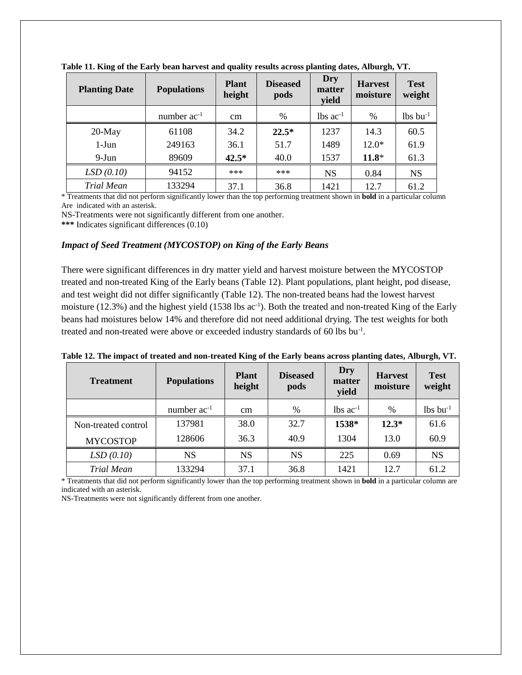| <b>Planting Date</b> | <b>Populations</b> | <b>Plant</b><br>height | <b>Diseased</b><br>pods | Dry<br>matter<br>yield | <b>Harvest</b><br>moisture | <b>Test</b><br>weight  |
|----------------------|--------------------|------------------------|-------------------------|------------------------|----------------------------|------------------------|
|                      | number $ac^{-1}$   | cm                     | %                       | $lbs$ ac <sup>-1</sup> | %                          | $lbs$ bu <sup>-1</sup> |
| $20$ -May            | 61108              | 34.2                   | $22.5*$                 | 1237                   | 14.3                       | 60.5                   |
| $1-J$ un             | 249163             | 36.1                   | 51.7                    | 1489                   | $12.0*$                    | 61.9                   |
| $9-Jun$              | 89609              | $42.5*$                | 40.0                    | 1537                   | $11.8*$                    | 61.3                   |
| LSD(0.10)            | 94152              | ***                    | ***                     | <b>NS</b>              | 0.84                       | <b>NS</b>              |
| <b>Trial Mean</b>    | 133294             | 37.1                   | 36.8                    | 1421                   | 12.7                       | 61.2                   |

**Table 11. King of the Early bean harvest and quality results across planting dates, Alburgh, VT.**

\* Treatments that did not perform significantly lower than the top performing treatment shown in **bold** in a particular column Are indicated with an asterisk.

NS-Treatments were not significantly different from one another.

**\*\*\*** Indicates significant differences (0.10)

#### *Impact of Seed Treatment (MYCOSTOP) on King of the Early Beans*

There were significant differences in dry matter yield and harvest moisture between the MYCOSTOP treated and non-treated King of the Early beans (Table 12). Plant populations, plant height, pod disease, and test weight did not differ significantly (Table 12). The non-treated beans had the lowest harvest moisture (12.3%) and the highest yield (1538 lbs ac<sup>-1</sup>). Both the treated and non-treated King of the Early beans had moistures below 14% and therefore did not need additional drying. The test weights for both treated and non-treated were above or exceeded industry standards of 60 lbs bu<sup>-1</sup>.

**Table 12. The impact of treated and non-treated King of the Early beans across planting dates, Alburgh, VT.**

| <b>Treatment</b>    | <b>Populations</b> | <b>Plant</b><br>height | <b>Diseased</b><br>pods | <b>Dry</b><br>matter<br>yield | <b>Harvest</b><br>moisture | <b>Test</b><br>weight  |
|---------------------|--------------------|------------------------|-------------------------|-------------------------------|----------------------------|------------------------|
|                     | number $ac^{-1}$   | cm                     | %                       | $lbs$ ac <sup>-1</sup>        | %                          | $lbs$ bu <sup>-1</sup> |
| Non-treated control | 137981             | 38.0                   | 32.7                    | 1538*                         | $12.3*$                    | 61.6                   |
| <b>MYCOSTOP</b>     | 128606             | 36.3                   | 40.9                    | 1304                          | 13.0                       | 60.9                   |
| LSD(0.10)           | <b>NS</b>          | <b>NS</b>              | <b>NS</b>               | 225                           | 0.69                       | <b>NS</b>              |
| <b>Trial Mean</b>   | 133294             | 37.1                   | 36.8                    | 1421                          | 12.7                       | 61.2                   |

\* Treatments that did not perform significantly lower than the top performing treatment shown in **bold** in a particular column are indicated with an asterisk.

NS-Treatments were not significantly different from one another.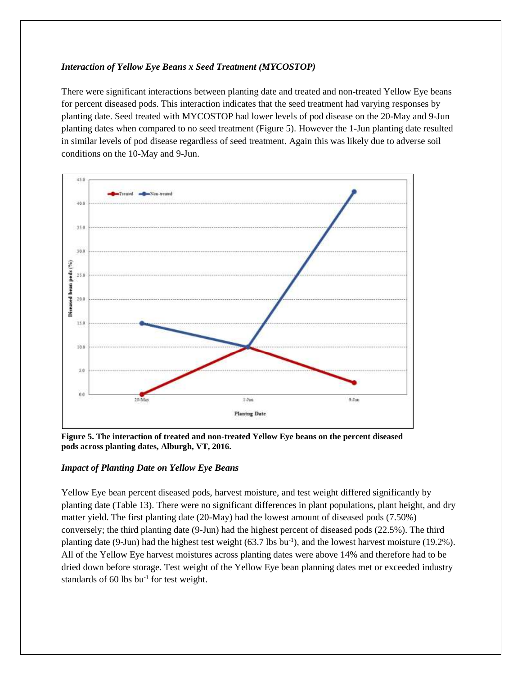#### *Interaction of Yellow Eye Beans x Seed Treatment (MYCOSTOP)*

There were significant interactions between planting date and treated and non-treated Yellow Eye beans for percent diseased pods. This interaction indicates that the seed treatment had varying responses by planting date. Seed treated with MYCOSTOP had lower levels of pod disease on the 20-May and 9-Jun planting dates when compared to no seed treatment (Figure 5). However the 1-Jun planting date resulted in similar levels of pod disease regardless of seed treatment. Again this was likely due to adverse soil conditions on the 10-May and 9-Jun.



**Figure 5. The interaction of treated and non-treated Yellow Eye beans on the percent diseased pods across planting dates, Alburgh, VT, 2016.**

# *Impact of Planting Date on Yellow Eye Beans*

Yellow Eye bean percent diseased pods, harvest moisture, and test weight differed significantly by planting date (Table 13). There were no significant differences in plant populations, plant height, and dry matter yield. The first planting date (20-May) had the lowest amount of diseased pods (7.50%) conversely; the third planting date (9-Jun) had the highest percent of diseased pods (22.5%). The third planting date (9-Jun) had the highest test weight (63.7 lbs bu<sup>-1</sup>), and the lowest harvest moisture (19.2%). All of the Yellow Eye harvest moistures across planting dates were above 14% and therefore had to be dried down before storage. Test weight of the Yellow Eye bean planning dates met or exceeded industry standards of 60 lbs  $bu^{-1}$  for test weight.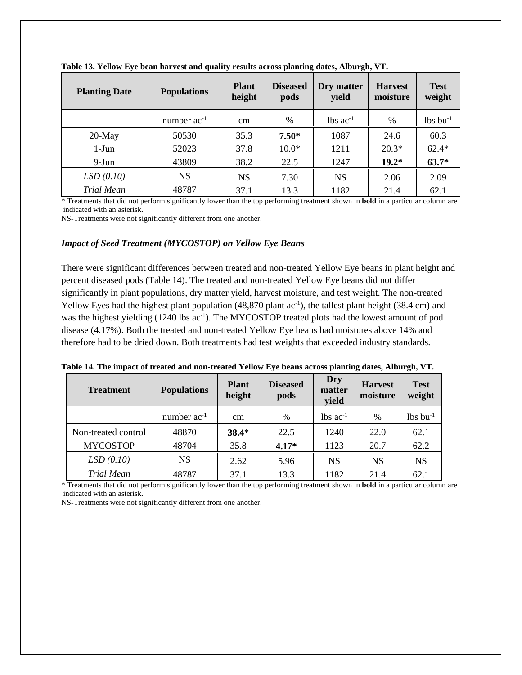| <b>Planting Date</b> | <b>Populations</b> | <b>Plant</b><br>height | <b>Diseased</b><br>pods | Dry matter<br>yield    | <b>Harvest</b><br>moisture | <b>Test</b><br>weight  |
|----------------------|--------------------|------------------------|-------------------------|------------------------|----------------------------|------------------------|
|                      | number $ac^{-1}$   | cm                     | %                       | $lbs$ ac <sup>-1</sup> | %                          | $lbs$ bu <sup>-1</sup> |
| $20$ -May            | 50530              | 35.3                   | $7.50*$                 | 1087                   | 24.6                       | 60.3                   |
| $1-J$ un             | 52023              | 37.8                   | $10.0*$                 | 1211                   | $20.3*$                    | $62.4*$                |
| $9-Jun$              | 43809              | 38.2                   | 22.5                    | 1247                   | $19.2*$                    | $63.7*$                |
| LSD(0.10)            | NS                 | <b>NS</b>              | 7.30                    | <b>NS</b>              | 2.06                       | 2.09                   |
| <b>Trial Mean</b>    | 48787              | 37.1                   | 13.3                    | 1182                   | 21.4                       | 62.1                   |

**Table 13. Yellow Eye bean harvest and quality results across planting dates, Alburgh, VT.**

\* Treatments that did not perform significantly lower than the top performing treatment shown in **bold** in a particular column are indicated with an asterisk.

NS-Treatments were not significantly different from one another.

#### *Impact of Seed Treatment (MYCOSTOP) on Yellow Eye Beans*

There were significant differences between treated and non-treated Yellow Eye beans in plant height and percent diseased pods (Table 14). The treated and non-treated Yellow Eye beans did not differ significantly in plant populations, dry matter yield, harvest moisture, and test weight. The non-treated Yellow Eyes had the highest plant population  $(48,870 \text{ plant ac}^{-1})$ , the tallest plant height  $(38.4 \text{ cm})$  and was the highest yielding (1240 lbs ac<sup>-1</sup>). The MYCOSTOP treated plots had the lowest amount of pod disease (4.17%). Both the treated and non-treated Yellow Eye beans had moistures above 14% and therefore had to be dried down. Both treatments had test weights that exceeded industry standards.

|  |  | Table 14. The impact of treated and non-treated Yellow Eye beans across planting dates, Alburgh, VT. |  |  |
|--|--|------------------------------------------------------------------------------------------------------|--|--|
|  |  |                                                                                                      |  |  |
|  |  |                                                                                                      |  |  |
|  |  |                                                                                                      |  |  |

| <b>Treatment</b>    | <b>Populations</b> | <b>Plant</b><br>height | <b>Diseased</b><br>pods | Dry<br>matter<br>yield | <b>Harvest</b><br>moisture | <b>Test</b><br>weight  |
|---------------------|--------------------|------------------------|-------------------------|------------------------|----------------------------|------------------------|
|                     | number $ac^{-1}$   | cm                     | %                       | $lbs$ ac <sup>-1</sup> | %                          | $lbs$ bu <sup>-1</sup> |
| Non-treated control | 48870              | $38.4*$                | 22.5                    | 1240                   | 22.0                       | 62.1                   |
| <b>MYCOSTOP</b>     | 48704              | 35.8                   | $4.17*$                 | 1123                   | 20.7                       | 62.2                   |
| LSD(0.10)           | <b>NS</b>          | 2.62                   | 5.96                    | <b>NS</b>              | <b>NS</b>                  | <b>NS</b>              |
| <b>Trial Mean</b>   | 48787              | 37.1                   | 13.3                    | 1182                   | 21.4                       | 62.1                   |

\* Treatments that did not perform significantly lower than the top performing treatment shown in **bold** in a particular column are indicated with an asterisk.

NS-Treatments were not significantly different from one another.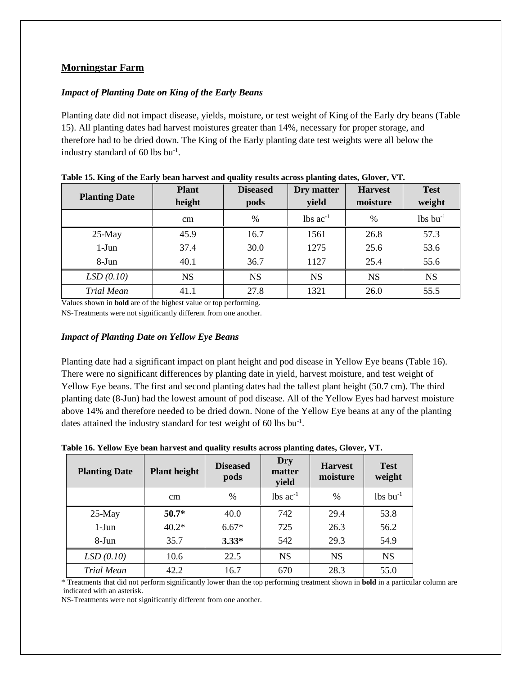# **Morningstar Farm**

# *Impact of Planting Date on King of the Early Beans*

Planting date did not impact disease, yields, moisture, or test weight of King of the Early dry beans (Table 15). All planting dates had harvest moistures greater than 14%, necessary for proper storage, and therefore had to be dried down. The King of the Early planting date test weights were all below the industry standard of 60 lbs bu-1 .

| <b>Planting Date</b> | <b>Plant</b><br>height | <b>Diseased</b><br>pods | Dry matter<br>yield    | <b>Harvest</b><br>moisture | <b>Test</b><br>weight  |
|----------------------|------------------------|-------------------------|------------------------|----------------------------|------------------------|
|                      | cm                     | $\%$                    | $lbs$ ac <sup>-1</sup> | $\frac{0}{0}$              | $lbs$ bu <sup>-1</sup> |
| $25$ -May            | 45.9                   | 16.7                    | 1561                   | 26.8                       | 57.3                   |
| $1-J$ un             | 37.4                   | 30.0                    | 1275                   | 25.6                       | 53.6                   |
| 8-Jun                | 40.1                   | 36.7                    | 1127                   | 25.4                       | 55.6                   |
| LSD(0.10)            | <b>NS</b>              | <b>NS</b>               | <b>NS</b>              | <b>NS</b>                  | <b>NS</b>              |
| <b>Trial Mean</b>    | 41.1                   | 27.8                    | 1321                   | 26.0                       | 55.5                   |

**Table 15. King of the Early bean harvest and quality results across planting dates, Glover, VT.**

Values shown in **bold** are of the highest value or top performing.

NS-Treatments were not significantly different from one another.

#### *Impact of Planting Date on Yellow Eye Beans*

Planting date had a significant impact on plant height and pod disease in Yellow Eye beans (Table 16). There were no significant differences by planting date in yield, harvest moisture, and test weight of Yellow Eye beans. The first and second planting dates had the tallest plant height (50.7 cm). The third planting date (8-Jun) had the lowest amount of pod disease. All of the Yellow Eyes had harvest moisture above 14% and therefore needed to be dried down. None of the Yellow Eye beans at any of the planting dates attained the industry standard for test weight of 60 lbs  $bu^{-1}$ .

| <b>Planting Date</b> | <b>Plant height</b> | <b>Diseased</b><br>pods | Dry<br>matter<br>yield | <b>Harvest</b><br>moisture | <b>Test</b><br>weight  |
|----------------------|---------------------|-------------------------|------------------------|----------------------------|------------------------|
|                      | cm                  | $\frac{0}{0}$           | $lbs$ ac <sup>-1</sup> | $\frac{0}{0}$              | $lbs$ bu <sup>-1</sup> |
| $25-May$             | $50.7*$             | 40.0                    | 742                    | 29.4                       | 53.8                   |
| $1-J$ un             | $40.2*$             | $6.67*$                 | 725                    | 26.3                       | 56.2                   |
| 8-Jun                | 35.7                | $3.33*$                 | 542                    | 29.3                       | 54.9                   |
| LSD(0.10)            | 10.6                | 22.5                    | <b>NS</b>              | <b>NS</b>                  | <b>NS</b>              |
| Trial Mean           | 42.2                | 16.7                    | 670                    | 28.3                       | 55.0                   |

**Table 16. Yellow Eye bean harvest and quality results across planting dates, Glover, VT.**

\* Treatments that did not perform significantly lower than the top performing treatment shown in **bold** in a particular column are indicated with an asterisk.

NS-Treatments were not significantly different from one another.